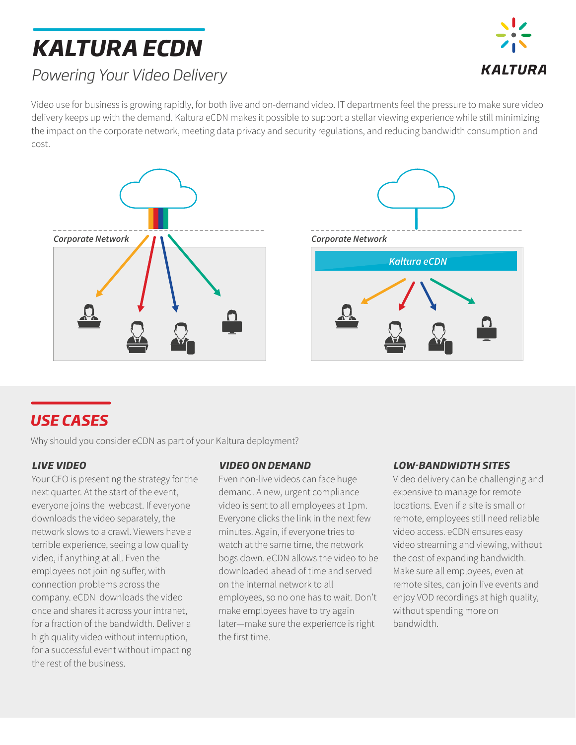# *KALTURA ECDN*



## *Powering Your Video Delivery*

Video use for business is growing rapidly, for both live and on-demand video. IT departments feel the pressure to make sure video delivery keeps up with the demand. Kaltura eCDN makes it possible to support a stellar viewing experience while still minimizing the impact on the corporate network, meeting data privacy and security regulations, and reducing bandwidth consumption and cost.



### *USE CASES*

Why should you consider eCDN as part of your Kaltura deployment?

### *LIVE VIDEO*

Your CEO is presenting the strategy for the next quarter. At the start of the event, everyone joins the webcast. If everyone downloads the video separately, the network slows to a crawl. Viewers have a terrible experience, seeing a low quality video, if anything at all. Even the employees not joining suffer, with connection problems across the company. eCDN downloads the video once and shares it across your intranet, for a fraction of the bandwidth. Deliver a high quality video without interruption, for a successful event without impacting the rest of the business.

### *VIDEO ON DEMAND*

Even non-live videos can face huge demand. A new, urgent compliance video is sent to all employees at 1pm. Everyone clicks the link in the next few minutes. Again, if everyone tries to watch at the same time, the network bogs down. eCDN allows the video to be downloaded ahead of time and served on the internal network to all employees, so no one has to wait. Don't make employees have to try again later—make sure the experience is right the first time.

#### *LOW-BANDWIDTH SITES*

Video delivery can be challenging and expensive to manage for remote locations. Even if a site is small or remote, employees still need reliable video access. eCDN ensures easy video streaming and viewing, without the cost of expanding bandwidth. Make sure all employees, even at remote sites, can join live events and enjoy VOD recordings at high quality, without spending more on bandwidth.